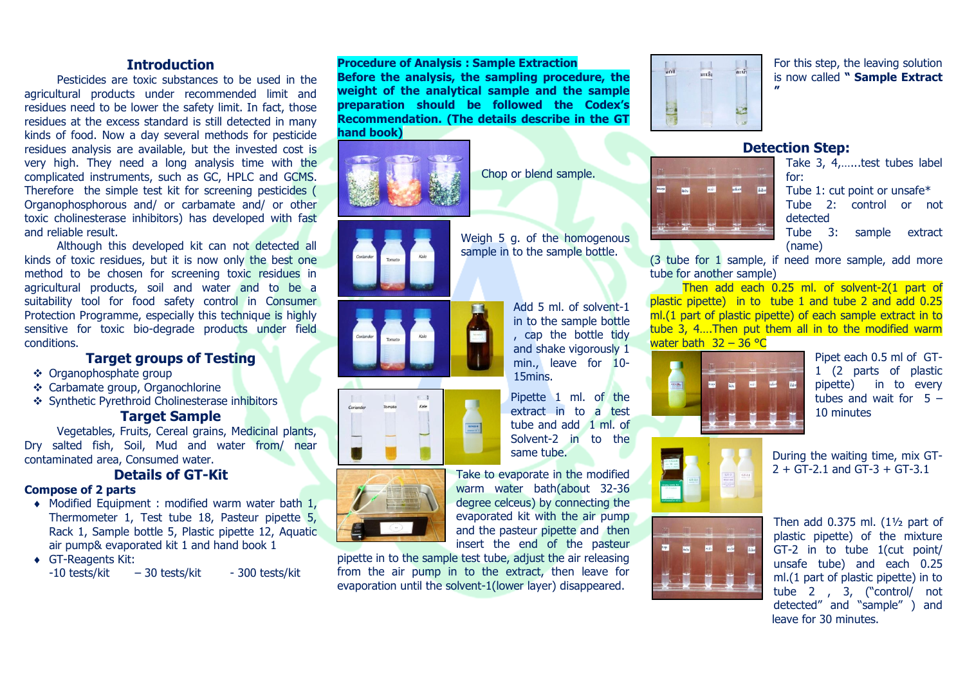## **Introduction**

Pesticides are toxic substances to be used in the agricultural products under recommended limit and residues need to be lower the safety limit. In fact, those residues at the excess standard is still detected in many kinds of food. Now a day several methods for pesticide residues analysis are available, but the invested cost is very high. They need a long analysis time with the complicated instruments, such as GC, HPLC and GCMS. Therefore the simple test kit for screening pesticides ( Organophosphorous and/ or carbamate and/ or other toxic cholinesterase inhibitors) has developed with fast and reliable result.

Although this developed kit can not detected all kinds of toxic residues, but it is now only the best one method to be chosen for screening toxic residues in agricultural products, soil and water and to be a suitability tool for food safety control in Consumer Protection Programme, especially this technique is highly sensitive for toxic bio-degrade products under field conditions.

## **Target groups of Testing**

- ◆ Organophosphate group
- Carbamate group, Organochlorine
- Synthetic Pyrethroid Cholinesterase inhibitors

## **Target Sample**

Vegetables, Fruits, Cereal grains, Medicinal plants, Dry salted fish, Soil, Mud and water from/ near contaminated area, Consumed water.

## **Details of GT-Kit**

#### **Compose of 2 parts**

- $\bullet$  Modified Equipment : modified warm water bath 1, Thermometer 1, Test tube 18, Pasteur pipette 5, Rack 1, Sample bottle 5, Plastic pipette 12, Aquatic air pump& evaporated kit 1 and hand book 1
- GT-Reagents Kit:
	- $-10$  tests/kit  $-30$  tests/kit  $-300$  tests/kit

**Procedure of Analysis : Sample Extraction Before the analysis, the sampling procedure, the weight of the analytical sample and the sample preparation should be followed the Codex's Recommendation. (The details describe in the GT hand book)**



Chop or blend sample.

Weigh 5 g. of the homogenous sample in to the sample bottle.





Kale

Add 5 ml. of solvent-1 in to the sample bottle , cap the bottle tidy and shake vigorously 1 min., leave for 10-15mins.

Pipette 1 ml. of the extract in to a test tube and add 1 ml. of Solvent-2 in to the same tube.

Take to evaporate in the modified warm water bath(about 32-36 degree celceus) by connecting the evaporated kit with the air pump and the pasteur pipette and then insert the end of the pasteur

pipette in to the sample test tube, adjust the air releasing from the air pump in to the extract, then leave for evaporation until the solvent-1(lower layer) disappeared.

 $\begin{tabular}{|c|c|} \hline \multicolumn{1}{|c|}{\textbf{norm}} \\ \hline \multicolumn{1}{|c|}{\textbf{norm}} \\ \hline \multicolumn{1}{|c|}{\textbf{norm}} \\ \hline \multicolumn{1}{|c|}{\textbf{norm}} \\ \hline \multicolumn{1}{|c|}{\textbf{norm}} \\ \hline \multicolumn{1}{|c|}{\textbf{norm}} \\ \hline \multicolumn{1}{|c|}{\textbf{norm}} \\ \hline \multicolumn{1}{|c|}{\textbf{norm}} \\ \hline \multicolumn{1}{|c|}{\textbf{norm}} \\ \hline \multicolumn{1}{|c|}{\textbf{norm$ 



For this step, the leaving solution is now called **" Sample Extract "**

## **Detection Step:**



Take 3, 4, ...., test tubes label for:

- Tube 1: cut point or unsafe\* Tube 2: control or not
- detected Tube 3: sample extract

(name)

(3 tube for 1 sample, if need more sample, add more tube for another sample)

Then add each 0.25 ml. of solvent-2(1 part of plastic pipette) in to tube 1 and tube 2 and add 0.25 ml.(1 part of plastic pipette) of each sample extract in to tube 3, 4….Then put them all in to the modified warm water bath  $32 - 36$  °C



Pipet each 0.5 ml of GT-1 (2 parts of plastic pipette) in to every tubes and wait for  $5 -$ 10 minutes

During the waiting time, mix GT- $2 + GT-2.1$  and  $GT-3 + GT-3.1$ 

Then add  $0.375$  ml.  $(1\frac{1}{2})$  part of plastic pipette) of the mixture GT-2 in to tube 1(cut point/ unsafe tube) and each 0.25 ml.(1 part of plastic pipette) in to tube 2 , 3, ("control/ not detected" and "sample" ) and leave for 30 minutes.